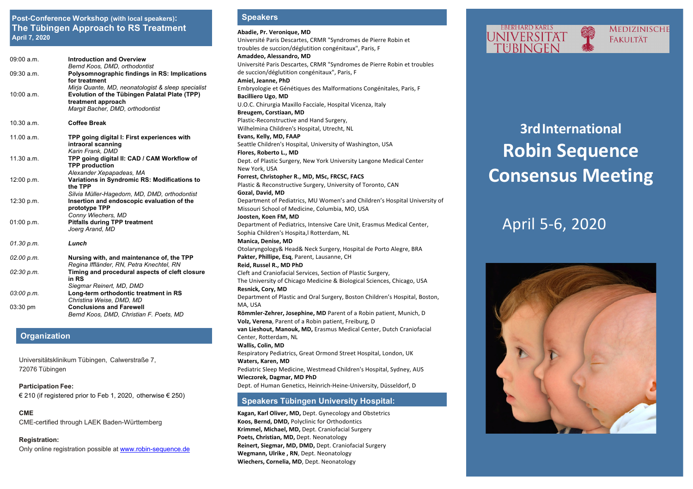### **Post-Conference Workshop (with local speakers): Speakers The Tübingen Approach to RS Treatment April 7, 2020**

| 09:00 a.m. | <b>Introduction and Overview</b><br>Bernd Koos, DMD, orthodontist                                                                                             |
|------------|---------------------------------------------------------------------------------------------------------------------------------------------------------------|
| 09:30 a.m. | Polysomnographic findings in RS: Implications<br>for treatment                                                                                                |
| 10:00 a.m. | Mirja Quante, MD, neonatologist & sleep specialist<br>Evolution of the Tübingen Palatal Plate (TPP)<br>treatment approach<br>Margit Bacher, DMD, orthodontist |
| 10.30 a.m. | <b>Coffee Break</b>                                                                                                                                           |
| 11.00 a.m. | TPP going digital I: First experiences with<br>intraoral scanning<br>Karin Frank, DMD                                                                         |
| 11.30 a.m. | TPP going digital II: CAD / CAM Workflow of<br><b>TPP production</b><br>Alexander Xepapadeas, MA                                                              |
| 12:00 p.m. | Variations in Syndromic RS: Modifications to<br>the TPP                                                                                                       |
| 12:30 p.m. | Silvia Müller-Hagedorn, MD, DMD, orthodontist<br>Insertion and endoscopic evaluation of the<br>prototype TPP                                                  |
| 01:00 p.m. | Conny Wiechers, MD<br><b>Pitfalls during TPP treatment</b><br>Joerg Arand, MD                                                                                 |
| 01.30 p.m. | Lunch                                                                                                                                                         |
| 02.00 p.m. | Nursing with, and maintenance of, the TPP<br>Regina Iffländer, RN, Petra Knechtel, RN                                                                         |
| 02:30 p.m. | Timing and procedural aspects of cleft closure<br>in RS<br>Siegmar Reinert, MD, DMD                                                                           |
| 03:00 p.m. | Long-term orthodontic treatment in RS<br>Christina Weise, DMD, MD                                                                                             |
| 03:30 pm   | <b>Conclusions and Farewell</b><br>Bernd Koos, DMD, Christian F. Poets, MD                                                                                    |

#### **Organization**

Universitätsklinikum Tübingen, Calwerstraße 7, 72076 Tübingen

**Participation Fee:** € 210 (if registered prior to Feb 1, 2020, otherwise  $€ 250$ )

**CME** CME-certified through LAEK Baden-Württemberg

**Registration:** Only online registration possible at www.robin-sequence.de

Abadie, Pr. Veronique, MD Université Paris Descartes, CRMR "Syndromes de Pierre Robin et troubles de succion/déglutition congénitaux", Paris, F **Amaddeo, Alessandro, MD** Université Paris Descartes, CRMR "Syndromes de Pierre Robin et troubles de succion/déglutition congénitaux", Paris, F **Amiel, Jeanne, PhD** Embryologie et Génétiques des Malformations Congénitales, Paris, F **Bacilliero Ugo**, **MD** U.O.C. Chirurgia Maxillo Facciale, Hospital Vicenza, Italy **Breugem, Corstiaan, MD** Plastic-Reconstructive and Hand Surgery, Wilhelmina Children's Hospital, Utrecht, NL **Evans, Kelly, MD, FAAP** Seattle Children's Hospital, University of Washington, USA **Flores, Roberto L., MD** Dept. of Plastic Surgery, New York University Langone Medical Center **New York, USA Forrest, Christopher R., MD, MSc, FRCSC, FACS** Plastic & Reconstructive Surgery, University of Toronto, CAN **Gozal, David, MD** Department of Pediatrics, MU Women's and Children's Hospital University of Missouri School of Medicine, Columbia, MO, USA Joosten, Koen FM, MD Department of Pediatrics, Intensive Care Unit, Erasmus Medical Center, Sophia Children's Hospita, I Rotterdam, NL **Manica, Denise, MD** Otolaryngology& Head& Neck Surgery, Hospital de Porto Alegre, BRA Pakter, Phillipe, Esq, Parent, Lausanne, CH **Reid, Russel R., MD PhD** Cleft and Craniofacial Services, Section of Plastic Surgery, The University of Chicago Medicine & Biological Sciences, Chicago, USA **Resnick, Cory, MD** Department of Plastic and Oral Surgery, Boston Children's Hospital, Boston, MA, USA **Römmler-Zehrer, Josephine, MD** Parent of a Robin patient, Munich, D **Volz, Verena**, Parent of a Robin patient, Freiburg, D van Lieshout, Manouk, MD, Erasmus Medical Center, Dutch Craniofacial Center, Rotterdam, NL **Wallis, Colin, MD** Respiratory Pediatrics, Great Ormond Street Hospital, London, UK **Waters, Karen, MD** Pediatric Sleep Medicine, Westmead Children's Hospital, Sydney, AUS **Wieczorek, Dagmar, MD PhD** Dept. of Human Genetics, Heinrich-Heine-University, Düsseldorf, D **Speakers Tübingen University Hospital:**

**Kagan, Karl Oliver, MD, Dept. Gynecology and Obstetrics Koos, Bernd, DMD, Polyclinic for Orthodontics Krimmel, Michael, MD, Dept. Craniofacial Surgery** Poets, Christian, MD, Dept. Neonatology **Reinert, Siegmar, MD, DMD, Dept. Craniofacial Surgery Wegmann, Ulrike, RN, Dept. Neonatology Wiechers, Cornelia, MD**, Dept. Neonatology





# **3rdInternational Robin Sequence Consensus Meeting**

## April 5-6, 2020